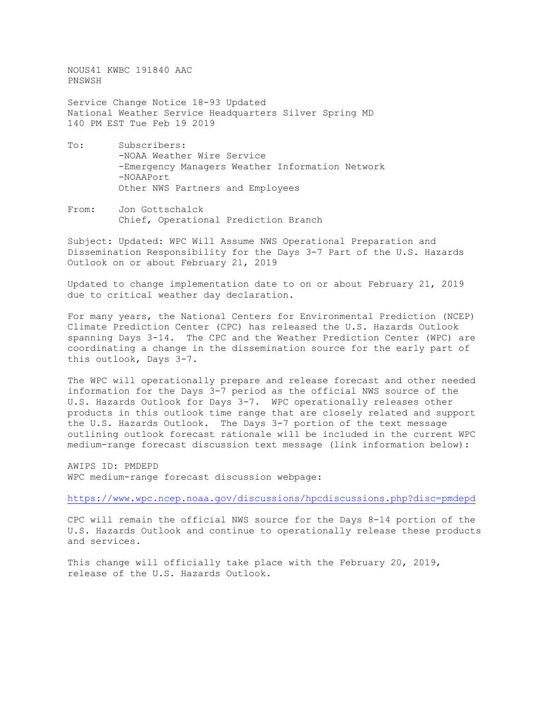NOUS41 KWBC 191840 AAC PNSWSH

Service Change Notice 18-93 Updated National Weather Service Headquarters Silver Spring MD 140 PM EST Tue Feb 19 2019

- To: Subscribers: -NOAA Weather Wire Service -Emergency Managers Weather Information Network -NOAAPort Other NWS Partners and Employees
- From: Jon Gottschalck Chief, Operational Prediction Branch

Subject: Updated: WPC Will Assume NWS Operational Preparation and Dissemination Responsibility for the Days 3-7 Part of the U.S. Hazards Outlook on or about February 21, 2019

Updated to change implementation date to on or about February 21, 2019 due to critical weather day declaration.

For many years, the National Centers for Environmental Prediction (NCEP) Climate Prediction Center (CPC) has released the U.S. Hazards Outlook spanning Days 3-14. The CPC and the Weather Prediction Center (WPC) are coordinating a change in the dissemination source for the early part of this outlook, Days 3-7.

The WPC will operationally prepare and release forecast and other needed information for the Days 3-7 period as the official NWS source of the U.S. Hazards Outlook for Days 3-7. WPC operationally releases other products in this outlook time range that are closely related and support the U.S. Hazards Outlook. The Days 3-7 portion of the text message outlining outlook forecast rationale will be included in the current WPC medium-range forecast discussion text message (link information below):

AWIPS ID: PMDEPD WPC medium-range forecast discussion webpage:

<https://www.wpc.ncep.noaa.gov/discussions/hpcdiscussions.php?disc=pmdepd>

CPC will remain the official NWS source for the Days 8-14 portion of the U.S. Hazards Outlook and continue to operationally release these products and services.

This change will officially take place with the February 20, 2019, release of the U.S. Hazards Outlook.